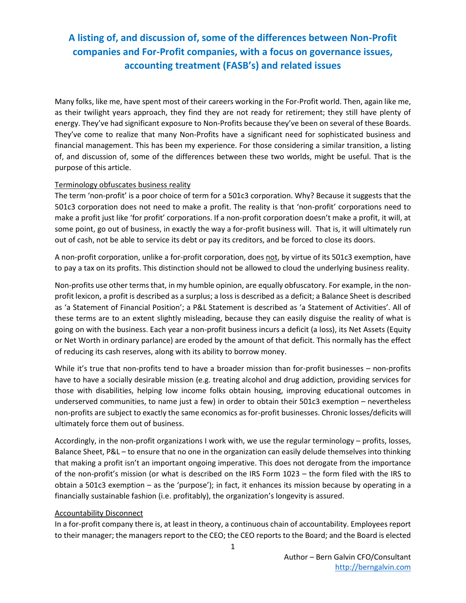# **A listing of, and discussion of, some of the differences between Non-Profit companies and For-Profit companies, with a focus on governance issues, accounting treatment (FASB's) and related issues**

Many folks, like me, have spent most of their careers working in the For-Profit world. Then, again like me, as their twilight years approach, they find they are not ready for retirement; they still have plenty of energy. They've had significant exposure to Non-Profits because they've been on several of these Boards. They've come to realize that many Non-Profits have a significant need for sophisticated business and financial management. This has been my experience. For those considering a similar transition, a listing of, and discussion of, some of the differences between these two worlds, might be useful. That is the purpose of this article.

## Terminology obfuscates business reality

The term 'non-profit' is a poor choice of term for a 501c3 corporation. Why? Because it suggests that the 501c3 corporation does not need to make a profit. The reality is that 'non-profit' corporations need to make a profit just like 'for profit' corporations. If a non-profit corporation doesn't make a profit, it will, at some point, go out of business, in exactly the way a for-profit business will. That is, it will ultimately run out of cash, not be able to service its debt or pay its creditors, and be forced to close its doors.

A non-profit corporation, unlike a for-profit corporation, does not, by virtue of its 501c3 exemption, have to pay a tax on its profits. This distinction should not be allowed to cloud the underlying business reality.

Non-profits use other terms that, in my humble opinion, are equally obfuscatory. For example, in the nonprofit lexicon, a profit is described as a surplus; a loss is described as a deficit; a Balance Sheet is described as 'a Statement of Financial Position'; a P&L Statement is described as 'a Statement of Activities'. All of these terms are to an extent slightly misleading, because they can easily disguise the reality of what is going on with the business. Each year a non-profit business incurs a deficit (a loss), its Net Assets (Equity or Net Worth in ordinary parlance) are eroded by the amount of that deficit. This normally has the effect of reducing its cash reserves, along with its ability to borrow money.

While it's true that non-profits tend to have a broader mission than for-profit businesses – non-profits have to have a socially desirable mission (e.g. treating alcohol and drug addiction, providing services for those with disabilities, helping low income folks obtain housing, improving educational outcomes in underserved communities, to name just a few) in order to obtain their 501c3 exemption – nevertheless non-profits are subject to exactly the same economics as for-profit businesses. Chronic losses/deficits will ultimately force them out of business.

Accordingly, in the non-profit organizations I work with, we use the regular terminology – profits, losses, Balance Sheet, P&L – to ensure that no one in the organization can easily delude themselves into thinking that making a profit isn't an important ongoing imperative. This does not derogate from the importance of the non-profit's mission (or what is described on the IRS Form 1023 – the form filed with the IRS to obtain a 501c3 exemption – as the 'purpose'); in fact, it enhances its mission because by operating in a financially sustainable fashion (i.e. profitably), the organization's longevity is assured.

#### Accountability Disconnect

In a for-profit company there is, at least in theory, a continuous chain of accountability. Employees report to their manager; the managers report to the CEO; the CEO reports to the Board; and the Board is elected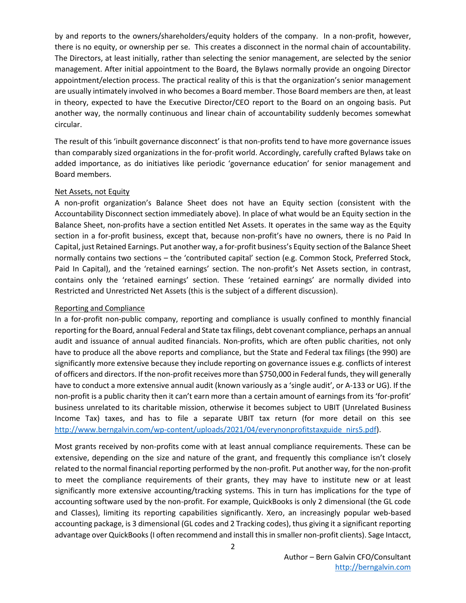by and reports to the owners/shareholders/equity holders of the company. In a non-profit, however, there is no equity, or ownership per se. This creates a disconnect in the normal chain of accountability. The Directors, at least initially, rather than selecting the senior management, are selected by the senior management. After initial appointment to the Board, the Bylaws normally provide an ongoing Director appointment/election process. The practical reality of this is that the organization's senior management are usually intimately involved in who becomes a Board member. Those Board members are then, at least in theory, expected to have the Executive Director/CEO report to the Board on an ongoing basis. Put another way, the normally continuous and linear chain of accountability suddenly becomes somewhat circular.

The result of this 'inbuilt governance disconnect' is that non-profits tend to have more governance issues than comparably sized organizations in the for-profit world. Accordingly, carefully crafted Bylaws take on added importance, as do initiatives like periodic 'governance education' for senior management and Board members.

#### Net Assets, not Equity

A non-profit organization's Balance Sheet does not have an Equity section (consistent with the Accountability Disconnect section immediately above). In place of what would be an Equity section in the Balance Sheet, non-profits have a section entitled Net Assets. It operates in the same way as the Equity section in a for-profit business, except that, because non-profit's have no owners, there is no Paid In Capital, just Retained Earnings. Put another way, a for-profit business's Equity section of the Balance Sheet normally contains two sections – the 'contributed capital' section (e.g. Common Stock, Preferred Stock, Paid In Capital), and the 'retained earnings' section. The non-profit's Net Assets section, in contrast, contains only the 'retained earnings' section. These 'retained earnings' are normally divided into Restricted and Unrestricted Net Assets (this is the subject of a different discussion).

#### Reporting and Compliance

In a for-profit non-public company, reporting and compliance is usually confined to monthly financial reporting for the Board, annual Federal and State tax filings, debt covenant compliance, perhaps an annual audit and issuance of annual audited financials. Non-profits, which are often public charities, not only have to produce all the above reports and compliance, but the State and Federal tax filings (the 990) are significantly more extensive because they include reporting on governance issues e.g. conflicts of interest of officers and directors. If the non-profit receives more than \$750,000 in Federal funds, they will generally have to conduct a more extensive annual audit (known variously as a 'single audit', or A-133 or UG). If the non-profit is a public charity then it can't earn more than a certain amount of earnings from its 'for-profit' business unrelated to its charitable mission, otherwise it becomes subject to UBIT (Unrelated Business Income Tax) taxes, and has to file a separate UBIT tax return (for more detail on this see [http://www.berngalvin.com/wp-content/uploads/2021/04/everynonprofitstaxguide\\_nirs5.pdf\)](http://www.berngalvin.com/wp-content/uploads/2021/04/everynonprofitstaxguide_nirs5.pdf).

Most grants received by non-profits come with at least annual compliance requirements. These can be extensive, depending on the size and nature of the grant, and frequently this compliance isn't closely related to the normal financial reporting performed by the non-profit. Put another way, for the non-profit to meet the compliance requirements of their grants, they may have to institute new or at least significantly more extensive accounting/tracking systems. This in turn has implications for the type of accounting software used by the non-profit. For example, QuickBooks is only 2 dimensional (the GL code and Classes), limiting its reporting capabilities significantly. Xero, an increasingly popular web-based accounting package, is 3 dimensional (GL codes and 2 Tracking codes), thus giving it a significant reporting advantage over QuickBooks (I often recommend and install this in smaller non-profit clients). Sage Intacct,